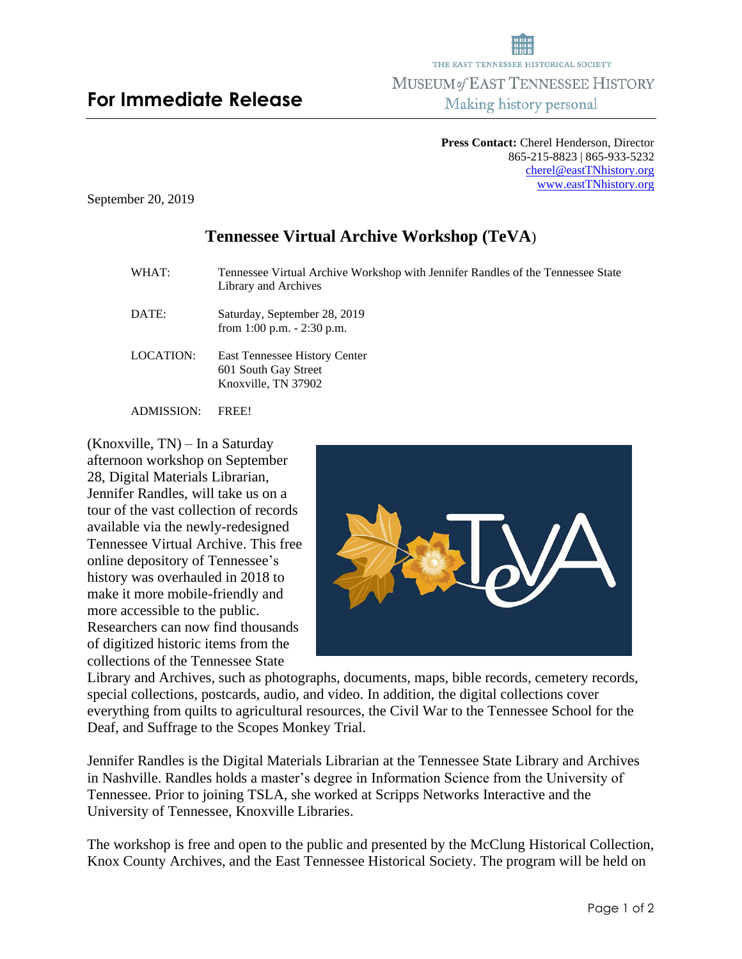## **Press Contact:** Cherel Henderson, Director 865-215-8823 | 865-933-5232 [cherel@eastTNhistory.org](mailto:cherel@eastTNhistory.org) [www.eastTNhistory.org](http://www.easttnhistory.org/)

September 20, 2019

## **Tennessee Virtual Archive Workshop (TeVA**)

WHAT: Tennessee Virtual Archive Workshop with Jennifer Randles of the Tennessee State Library and Archives DATE: Saturday, September 28, 2019 from 1:00 p.m. - 2:30 p.m. LOCATION: East Tennessee History Center 601 South Gay Street Knoxville, TN 37902 ADMISSION: FREE!

(Knoxville, TN) – In a Saturday afternoon workshop on September 28, Digital Materials Librarian, Jennifer Randles, will take us on a tour of the vast collection of records available via the newly-redesigned Tennessee Virtual Archive. This free online depository of Tennessee's history was overhauled in 2018 to make it more mobile-friendly and more accessible to the public. Researchers can now find thousands of digitized historic items from the

collections of the Tennessee State



Library and Archives, such as photographs, documents, maps, bible records, cemetery records, special collections, postcards, audio, and video. In addition, the digital collections cover everything from quilts to agricultural resources, the Civil War to the Tennessee School for the Deaf, and Suffrage to the Scopes Monkey Trial.

Jennifer Randles is the Digital Materials Librarian at the Tennessee State Library and Archives in Nashville. Randles holds a master's degree in Information Science from the University of Tennessee. Prior to joining TSLA, she worked at Scripps Networks Interactive and the University of Tennessee, Knoxville Libraries.

The workshop is free and open to the public and presented by the McClung Historical Collection, Knox County Archives, and the East Tennessee Historical Society. The program will be held on